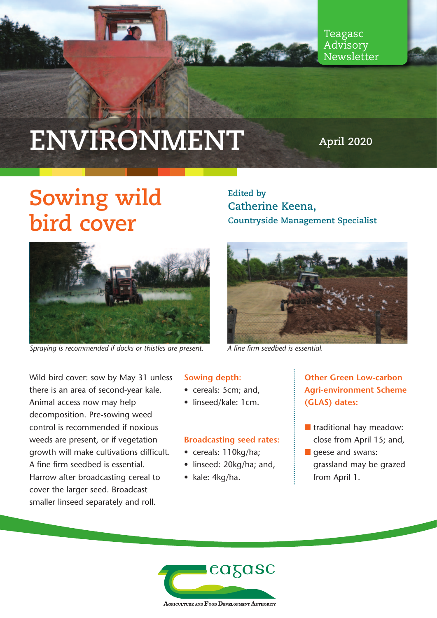

Teagasc Advisory Newsletter

# **ENVIRONMENT**

**April 2020**

### **Sowing wild bird cover**



*Spraying is recommended if docks or thistles are present. A fine firm seedbed is essential.*

Wild bird cover: sow by May 31 unless there is an area of second-year kale. Animal access now may help decomposition. Pre-sowing weed control is recommended if noxious weeds are present, or if vegetation growth will make cultivations difficult. A fine firm seedbed is essential. Harrow after broadcasting cereal to cover the larger seed. Broadcast smaller linseed separately and roll.

#### **Sowing depth:**

- cereals: 5cm; and,
- linseed/kale: 1cm.

#### **Broadcasting seed rates:**

- cereals: 110kg/ha;
- linseed: 20kg/ha; and,
- kale: 4kg/ha.

**Edited by Catherine Keena, Countryside Management Specialist** 



#### **Other Green Low-carbon Agri-environment Scheme (GLAS) dates:**

- $\blacksquare$  traditional hay meadow: close from April 15; and,
- $\blacksquare$  geese and swans: grassland may be grazed from April 1.

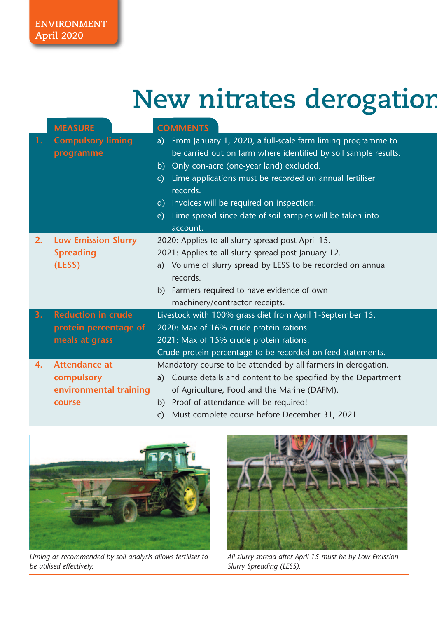## **New nitrates derogation**

|    | <b>MEASURE</b>                                                         | <b>COMMENTS</b>                                                                                                                                                                                                                                                                                                                                                                                               |
|----|------------------------------------------------------------------------|---------------------------------------------------------------------------------------------------------------------------------------------------------------------------------------------------------------------------------------------------------------------------------------------------------------------------------------------------------------------------------------------------------------|
| 1. | <b>Compulsory liming</b><br>programme                                  | From January 1, 2020, a full-scale farm liming programme to<br>a)<br>be carried out on farm where identified by soil sample results.<br>Only con-acre (one-year land) excluded.<br>b)<br>Lime applications must be recorded on annual fertiliser<br>$\mathsf{C}$<br>records.<br>Invoices will be required on inspection.<br>d)<br>Lime spread since date of soil samples will be taken into<br>e)<br>account. |
| 2. | <b>Low Emission Slurry</b><br><b>Spreading</b><br>(LESS)               | 2020: Applies to all slurry spread post April 15.<br>2021: Applies to all slurry spread post January 12.<br>Volume of slurry spread by LESS to be recorded on annual<br>a)<br>records.<br>Farmers required to have evidence of own<br>b)<br>machinery/contractor receipts.                                                                                                                                    |
| 3. | <b>Reduction in crude</b><br>protein percentage of<br>meals at grass   | Livestock with 100% grass diet from April 1-September 15.<br>2020: Max of 16% crude protein rations.<br>2021: Max of 15% crude protein rations.<br>Crude protein percentage to be recorded on feed statements.                                                                                                                                                                                                |
| 4. | <b>Attendance at</b><br>compulsory<br>environmental training<br>course | Mandatory course to be attended by all farmers in derogation.<br>Course details and content to be specified by the Department<br>a)<br>of Agriculture, Food and the Marine (DAFM).<br>Proof of attendance will be required!<br>b)<br>Must complete course before December 31, 2021.<br>C)                                                                                                                     |



*Liming as recommended by soil analysis allows fertiliser to be utilised effectively.*



*All slurry spread after April 15 must be by Low Emission Slurry Spreading (LESS).*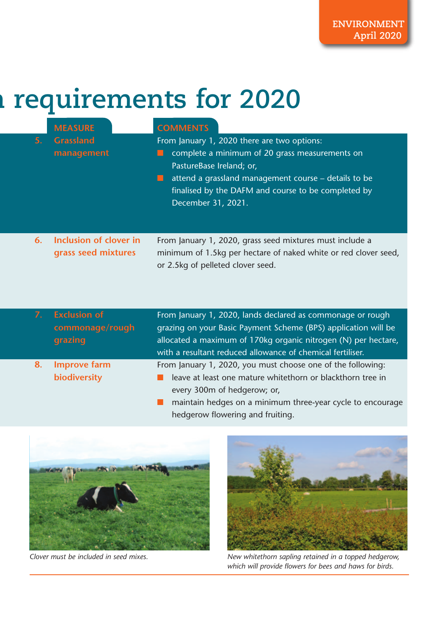## **n requirements for 2020**

| 5. | <b>MEASURE</b><br><b>Grassland</b><br>management  | <b>COMMENTS</b><br>From January 1, 2020 there are two options:<br>complete a minimum of 20 grass measurements on<br>PastureBase Ireland; or,<br>attend a grassland management course – details to be<br>finalised by the DAFM and course to be completed by<br>December 31, 2021. |
|----|---------------------------------------------------|-----------------------------------------------------------------------------------------------------------------------------------------------------------------------------------------------------------------------------------------------------------------------------------|
| 6. | Inclusion of clover in<br>grass seed mixtures     | From January 1, 2020, grass seed mixtures must include a<br>minimum of 1.5kg per hectare of naked white or red clover seed,                                                                                                                                                       |
|    |                                                   | or 2.5kg of pelleted clover seed.                                                                                                                                                                                                                                                 |
| 7. | <b>Exclusion of</b><br>commonage/rough<br>grazing | From January 1, 2020, lands declared as commonage or rough<br>grazing on your Basic Payment Scheme (BPS) application will be<br>allocated a maximum of 170kg organic nitrogen (N) per hectare,<br>with a resultant reduced allowance of chemical fertiliser.                      |

- From January 1, 2020, you must choose one of the following:  $\blacksquare$  leave at least one mature whitethorn or blackthorn tree in every 300m of hedgerow; or,
	- $\blacksquare$  maintain hedges on a minimum three-year cycle to encourage hedgerow flowering and fruiting.



**8. Improve farm**

**biodiversity**



*Clover must be included in seed mixes. New whitethorn sapling retained in a topped hedgerow, which will provide flowers for bees and haws for birds.*